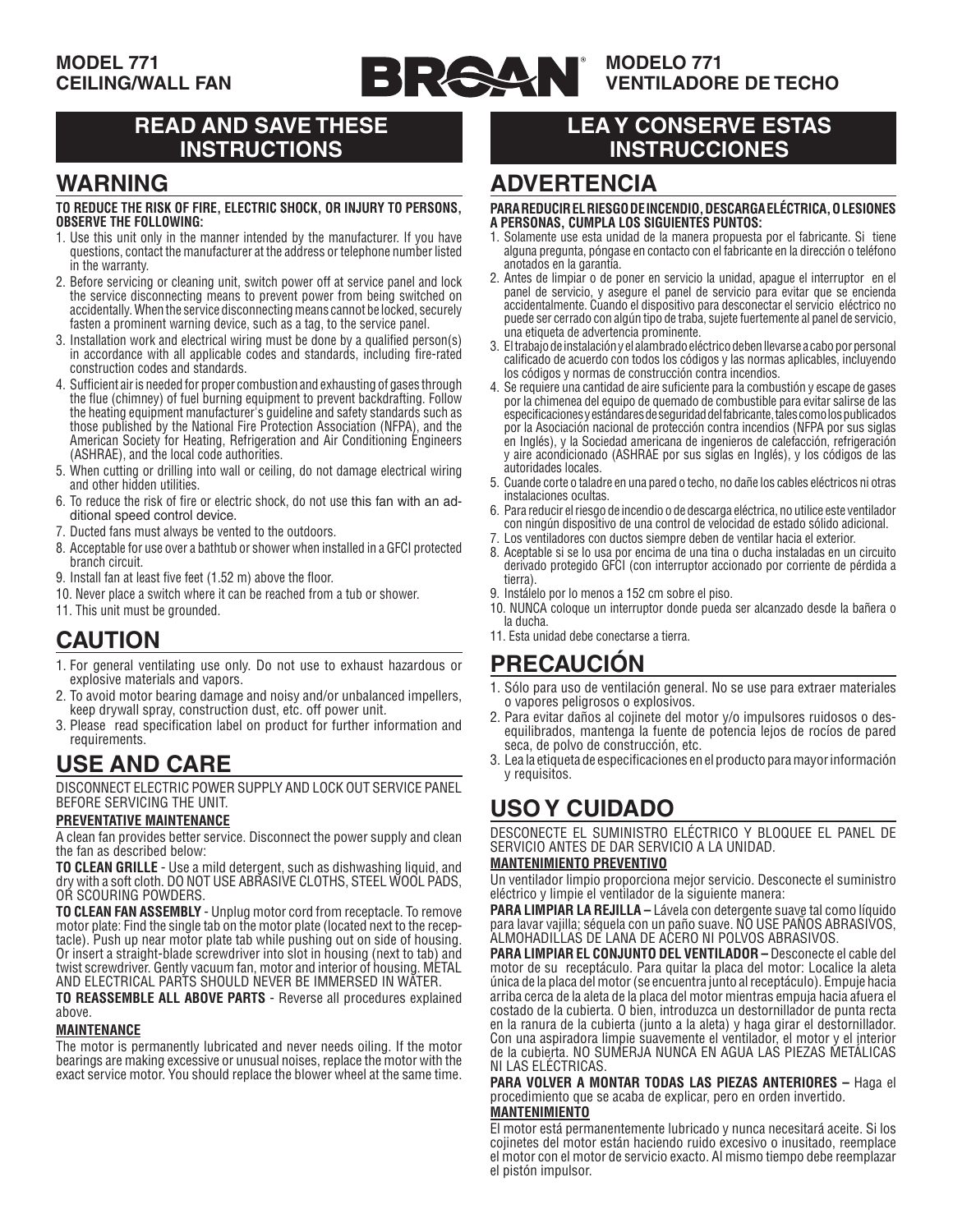

### **MODELO 771 VENTILADORE DE TECHO**

## **READ AND SAVE THESE INSTRUCTIONS**

## **WARNING**

#### **TO REDUCE THE RISK OF FIRE, ELECTRIC SHOCK, OR INJURY TO PERSONS, OBSERVE THE FOLLOWING:**

- 1. Use this unit only in the manner intended by the manufacturer. If you have questions, contact the manufacturer at the address or telephone number listed in the warranty.
- 2. Before servicing or cleaning unit, switch power off at service panel and lock the service disconnecting means to prevent power from being switched on accidentally. When the service disconnecting means cannot be locked, securely fasten a prominent warning device, such as a tag, to the service panel.
- 3. Installation work and electrical wiring must be done by a qualified person(s) in accordance with all applicable codes and standards, including fire-rated construction codes and standards.
- 4. Sufficient air is needed for proper combustion and exhausting of gases through the flue (chimney) of fuel burning equipment to prevent backdrafting. Follow the heating equipment manufacturer's guideline and safety standards such as those published by the National Fire Protection Association (NFPA), and the American Society for Heating, Refrigeration and Air Conditioning Engineers (ASHRAE), and the local code authorities.
- 5. When cutting or drilling into wall or ceiling, do not damage electrical wiring and other hidden utilities.
- 6. To reduce the risk of fire or electric shock, do not use this fan with an additional speed control device.
- 7. Ducted fans must always be vented to the outdoors.
- 8. Acceptable for use over a bathtub or shower when installed in a GFCI protected branch circuit.
- 9. Install fan at least five feet (1.52 m) above the floor.
- 10. Never place a switch where it can be reached from a tub or shower.
- 11. This unit must be grounded.

## **CAUTION**

- 1. For general ventilating use only. Do not use to exhaust hazardous or explosive materials and vapors.
- 2. To avoid motor bearing damage and noisy and/or unbalanced impellers, keep drywall spray, construction dust, etc. off power unit.
- 3. Please read specification label on product for further information and requirements.

# **USE AND CARE**

DISCONNECT ELECTRIC POWER SUPPLY AND LOCK OUT SERVICE PANEL BEFORE SERVICING THE UNIT.

#### **PREVENTATIVE MAINTENANCE**

A clean fan provides better service. Disconnect the power supply and clean the fan as described below:

**TO CLEAN GRILLE** - Use a mild detergent, such as dishwashing liquid, and dry with a soft cloth. DO NOT USE ABRASIVE CLOTHS, STEEL WOOL PADS, OR SCOURING POWDERS.

**TO CLEAN FAN ASSEMBLY** - Unplug motor cord from receptacle. To remove motor plate: Find the single tab on the motor plate (located next to the receptacle). Push up near motor plate tab while pushing out on side of housing. Or insert a straight-blade screwdriver into slot in housing (next to tab) and twist screwdriver. Gently vacuum fan, motor and interior of housing. METAL AND ELECTRICAL PARTS SHOULD NEVER BE IMMERSED IN WATER.

**TO REASSEMBLE ALL ABOVE PARTS** - Reverse all procedures explained above.

#### **MAINTENANCE**

The motor is permanently lubricated and never needs oiling. If the motor bearings are making excessive or unusual noises, replace the motor with the exact service motor. You should replace the blower wheel at the same time.

## **LEA Y CONSERVE ESTAS INSTRUCCIONES**

## **ADVERTENCIA**

#### **PARA REDUCIR EL RIESGO DE INCENDIO, DESCARGA ELÉCTRICA, O LESIONES A PERSONAS, CUMPLA LOS SIGUIENTES PUNTOS:**

- 1. Solamente use esta unidad de la manera propuesta por el fabricante. Si tiene alguna pregunta, póngase en contacto con el fabricante en la dirección o teléfono anotados en la garantía.
- 2. Antes de limpiar o de poner en servicio la unidad, apague el interruptor en el panel de servicio, y asegure el panel de servicio para evitar que se encienda accidentalmente. Cuando el dispositivo para desconectar el servicio eléctrico no puede ser cerrado con algún tipo de traba, sujete fuertemente al panel de servicio, una etiqueta de advertencia prominente.
- 3. El trabajo de instalación y el alambrado eléctrico deben llevarse a cabo por personal calificado de acuerdo con todos los códigos y las normas aplicables, incluyendo los códigos y normas de construcción contra incendios.
- 4. Se requiere una cantidad de aire suficiente para la combustión y escape de gases por la chimenea del equipo de quemado de combustible para evitar salirse de las especificaciones y estándares de seguridad del fabricante, tales como los publicados por la Asociación nacional de protección contra incendios (NFPA por sus siglas en Inglés), y la Sociedad americana de ingenieros de calefacción, refrigeración y aire acondicionado (ASHRAE por sus siglas en Inglés), y los códigos de las autoridades locales.
- 5. Cuande corte o taladre en una pared o techo, no dañe los cables eléctricos ni otras instalaciones ocultas.
- 6. Para reducir el riesgo de incendio o de descarga eléctrica, no utilice este ventilador con ningún dispositivo de una control de velocidad de estado sólido adicional.
- 7. Los ventiladores con ductos siempre deben de ventilar hacia el exterior.
- 8. Aceptable si se lo usa por encima de una tina o ducha instaladas en un circuito derivado protegido GFCI (con interruptor accionado por corriente de pérdida a tierra).
- 9. Instálelo por lo menos a 152 cm sobre el piso.
- 10. NUNCA coloque un interruptor donde pueda ser alcanzado desde la bañera o la ducha.
- 11. Esta unidad debe conectarse a tierra.

## **PRECAUCIÓN**

- 1. Sólo para uso de ventilación general. No se use para extraer materiales o vapores peligrosos o explosivos.
- 2. Para evitar daños al cojinete del motor y/o impulsores ruidosos o des- equilibrados, mantenga la fuente de potencia lejos de rocíos de pared seca, de polvo de construcción, etc.
- 3. Lea la etiqueta de especificaciones en el producto para mayor información y requisitos.

# **USO Y CUIDADO**

DESCONECTE EL SUMINISTRO ELÉCTRICO Y BLOQUEE EL PANEL DE SERVICIO ANTES DE DAR SERVICIO A LA UNIDAD.

#### **MANTENIMIENTO PREVENTIVO**

Un ventilador limpio proporciona mejor servicio. Desconecte el suministro eléctrico y limpie el ventilador de la siguiente manera:

**PARA LIMPIAR LA REJILLA –** Lávela con detergente suave tal como líquido para lavar vajilla; séquela con un paño suave. NO USE PAÑOS ABRASIVOS, ALMOHADILLAS DE LANA DE ACERO NI POLVOS ABRASIVOS.

**PARA LIMPIAR EL CONJUNTO DEL VENTILADOR –** Desconecte el cable del motor de su receptáculo. Para quitar la placa del motor: Localice la aleta única de la placa del motor (se encuentra junto al receptáculo). Empuje hacia arriba cerca de la aleta de la placa del motor mientras empuja hacia afuera el costado de la cubierta. O bien, introduzca un destornillador de punta recta en la ranura de la cubierta (junto a la aleta) y haga girar el destornillador. Con una aspiradora limpie suavemente el ventilador, el motor y el interior de la cubierta. NO SUMERJA NUNCA EN AGUA LAS PIEZAS METÁLICAS NI LAS ELÉCTRICAS.

**PARA VOLVER A MONTAR TODAS LAS PIEZAS ANTERIORES –** Haga el procedimiento que se acaba de explicar, pero en orden invertido.

### **MANTENIMIENTO**

El motor está permanentemente lubricado y nunca necesitará aceite. Si los cojinetes del motor están haciendo ruido excesivo o inusitado, reemplace el motor con el motor de servicio exacto. Al mismo tiempo debe reemplazar el pistón impulsor.